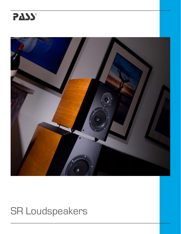



## **SR Loudspeakers**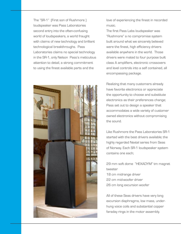The "SR-1" (First son of Rushmore ) loudspeaker was Pass Laboratories second entry into the often-confusing world of loudspeakers, a world fraught with claims of new technology and brilliant technological breakthroughs. Pass Laboratories claims no special technology in the SR-1, only Nelson Pass's meticulous attention to detail, a strong commitment to using the finest available parts and the



love of experiencing the finest in recorded music.

The first Pass Labs loudspeaker was "Rushmore" a no compromise system built around what we sincerely believed were the finest, high efficiency drivers available anywhere in the world. Those drivers were mated to four purpose built class A amplifiers, electronic crossovers and level controls into a self contained, all encompassing package.

Realizing that many customers already have favorite electronics or appreciate the opportunity to choose and substitute electronics as their preferences change; Pass set out to design a speaker that accommodates a wide variety of customer owned electronics without compromising the sound.

Like Rushmore the Pass Laboratories SR-1 started with the best drivers available; the highly regarded Nextel series from Seas of Norway. Each SR-1 loudspeaker system contains one each;

29 mm soft dome "HEXADYM" tm magnet tweeter 18 cm midrange driver 22 cm mid-woofer driver 26 cm long excursion woofer

All of these Seas drivers have very long excursion diaphragms, low mass, underhung voice coils and substantial copper faraday rings in the motor assembly.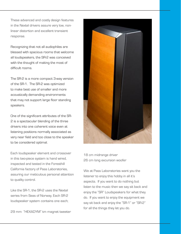These advanced and costly design features in the Nextel drivers assure very low, nonlinear distortion and excellent transient response.

Recognizing that not all audiophiles are blessed with spacious rooms that welcome all loudspeakers, the SR-2 was conceived with the thought of making the most of difficult rooms.

The SR-2 is a more compact 3-way version of the SR-1. The SR-2 was optimized to make best use of smaller and more acoustically demanding environments that may not support large floor standing speakers.

One of the significant attributes of the SR-2 is a spectacular blending of the three drivers into one coherent voice even at listening positions normally associated as very near field and too close to the speaker to be considered optimal.

Each loudspeaker element and crossover in this two-piece system is hand wired, inspected and tested in the Foresthill California factory of Pass Laboratories, assuring our meticulous personal attention to quality control.

Like the SR-1, the SR-2 uses the Nextel series from Seas of Norway. Each SR-2 loudspeaker system contains one each;

29 mm "HEXADYM" tm magnet tweeter



18 cm midrange driver 26 cm long excursion woofer

We at Pass Laboratories want you the listener to enjoy this hobby in all it's aspects. If you want to do nothing but listen to the music then we say sit back and enjoy the "SR" Loudspeakers for what they do. If you want to enjoy the equipment we say sit back and enjoy the "SR-1" or "SR-2" for all the things they let you do.